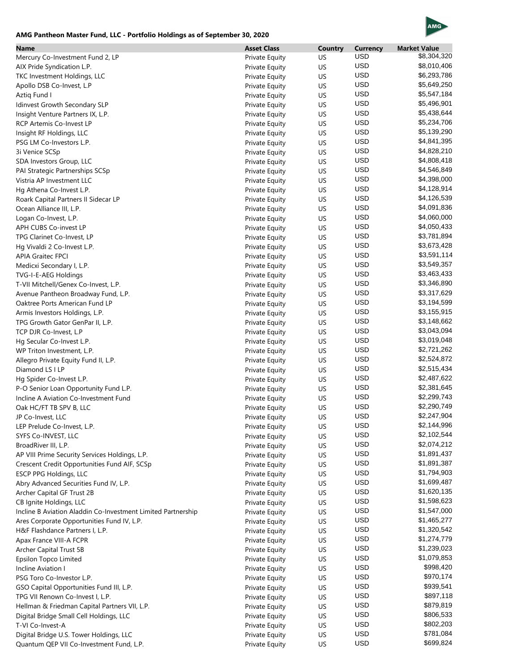## AMG

## **AMG Pantheon Master Fund, LLC - Portfolio Holdings as of September 30, 2020**

| <b>Name</b>                                                  | <b>Asset Class</b> | Country | <b>Currency</b><br><b>USD</b> | <b>Market Value</b><br>\$8,304,320 |
|--------------------------------------------------------------|--------------------|---------|-------------------------------|------------------------------------|
| Mercury Co-Investment Fund 2, LP                             | Private Equity     | US.     | <b>USD</b>                    | \$8,010,406                        |
| AIX Pride Syndication L.P.                                   | Private Equity     | US      | <b>USD</b>                    | \$6,293,786                        |
| TKC Investment Holdings, LLC                                 | Private Equity     | US      | <b>USD</b>                    | \$5,649,250                        |
| Apollo DSB Co-Invest, L.P                                    | Private Equity     | US      |                               |                                    |
| Aztiq Fund I                                                 | Private Equity     | US      | <b>USD</b>                    | \$5,547,184                        |
| Idinvest Growth Secondary SLP                                | Private Equity     | US      | <b>USD</b>                    | \$5,496,901                        |
| Insight Venture Partners IX, L.P.                            | Private Equity     | US      | <b>USD</b>                    | \$5,438,644                        |
| <b>RCP Artemis Co-Invest LP</b>                              | Private Equity     | US      | <b>USD</b>                    | \$5,234,706                        |
| Insight RF Holdings, LLC                                     | Private Equity     | US      | <b>USD</b>                    | \$5,139,290                        |
| PSG LM Co-Investors L.P.                                     | Private Equity     | US      | <b>USD</b>                    | \$4,841,395                        |
| 3i Venice SCSp                                               | Private Equity     | US      | <b>USD</b>                    | \$4,828,210                        |
| SDA Investors Group, LLC                                     | Private Equity     | US      | <b>USD</b>                    | \$4,808,418                        |
| PAI Strategic Partnerships SCSp                              | Private Equity     | US      | <b>USD</b>                    | \$4,546,849                        |
| Vistria AP Investment LLC                                    | Private Equity     | US      | <b>USD</b>                    | \$4,398,000                        |
| Hg Athena Co-Invest L.P.                                     | Private Equity     | US      | <b>USD</b>                    | \$4,128,914                        |
| Roark Capital Partners II Sidecar LP                         | Private Equity     | US      | <b>USD</b>                    | \$4,126,539                        |
| Ocean Alliance III, L.P.                                     | Private Equity     | US      | <b>USD</b>                    | \$4,091,836                        |
| Logan Co-Invest, L.P.                                        | Private Equity     | US      | <b>USD</b>                    | \$4,060,000                        |
| APH CUBS Co-invest LP                                        | Private Equity     | US      | <b>USD</b>                    | \$4,050,433                        |
| TPG Clarinet Co-Invest, LP                                   | Private Equity     | US      | <b>USD</b>                    | \$3,781,894                        |
| Hg Vivaldi 2 Co-Invest L.P.                                  |                    | US      | <b>USD</b>                    | \$3,673,428                        |
|                                                              | Private Equity     |         | <b>USD</b>                    | \$3,591,114                        |
| <b>APIA Graitec FPCI</b>                                     | Private Equity     | US      | <b>USD</b>                    | \$3,549,357                        |
| Medicxi Secondary I, L.P.                                    | Private Equity     | US      |                               |                                    |
| TVG-I-E-AEG Holdings                                         | Private Equity     | US      | <b>USD</b>                    | \$3,463,433                        |
| T-VII Mitchell/Genex Co-Invest, L.P.                         | Private Equity     | US      | <b>USD</b>                    | \$3,346,890                        |
| Avenue Pantheon Broadway Fund, L.P.                          | Private Equity     | US      | <b>USD</b>                    | \$3,317,629                        |
| Oaktree Ports American Fund LP                               | Private Equity     | US      | <b>USD</b>                    | \$3,194,599                        |
| Armis Investors Holdings, L.P.                               | Private Equity     | US      | <b>USD</b>                    | \$3,155,915                        |
| TPG Growth Gator GenPar II, L.P.                             | Private Equity     | US      | <b>USD</b>                    | \$3,148,662                        |
| TCP DJR Co-Invest, L.P                                       | Private Equity     | US      | <b>USD</b>                    | \$3,043,094                        |
| Hg Secular Co-Invest L.P.                                    | Private Equity     | US      | <b>USD</b>                    | \$3,019,048                        |
| WP Triton Investment, L.P.                                   | Private Equity     | US      | <b>USD</b>                    | \$2,721,262                        |
| Allegro Private Equity Fund II, L.P.                         | Private Equity     | US      | <b>USD</b>                    | \$2,524,872                        |
| Diamond LS I LP                                              | Private Equity     | US      | <b>USD</b>                    | \$2,515,434                        |
| Hg Spider Co-Invest L.P.                                     | Private Equity     | US      | <b>USD</b>                    | \$2,487,622                        |
| P-O Senior Loan Opportunity Fund L.P.                        | Private Equity     | US      | <b>USD</b>                    | \$2,381,645                        |
| Incline A Aviation Co-Investment Fund                        | Private Equity     | US      | <b>USD</b>                    | \$2,299,743                        |
| Oak HC/FT TB SPV B, LLC                                      | Private Equity     | US      | <b>USD</b>                    | \$2,290,749                        |
| JP Co-Invest, LLC                                            | Private Equity     | US      | <b>USD</b>                    | \$2,247,904                        |
| LEP Prelude Co-Invest, L.P.                                  | Private Equity     | US      | <b>USD</b>                    | \$2,144,996                        |
| SYFS Co-INVEST, LLC                                          | Private Equity     | US      | <b>USD</b>                    | \$2,102,544                        |
| BroadRiver III, L.P.                                         | Private Equity     | US      | <b>USD</b>                    | \$2,074,212                        |
| AP VIII Prime Security Services Holdings, L.P.               |                    |         | <b>USD</b>                    | \$1,891,437                        |
|                                                              | Private Equity     | US      | <b>USD</b>                    | \$1,891,387                        |
| Crescent Credit Opportunities Fund AIF, SCSp                 | Private Equity     | US      | <b>USD</b>                    |                                    |
| <b>ESCP PPG Holdings, LLC</b>                                | Private Equity     | US      |                               | \$1,794,903                        |
| Abry Advanced Securities Fund IV, L.P.                       | Private Equity     | US      | <b>USD</b>                    | \$1,699,487                        |
| Archer Capital GF Trust 2B                                   | Private Equity     | US      | <b>USD</b>                    | \$1,620,135                        |
| CB Ignite Holdings, LLC                                      | Private Equity     | US      | <b>USD</b>                    | \$1,598,623                        |
| Incline B Aviation Aladdin Co-Investment Limited Partnership | Private Equity     | US      | <b>USD</b>                    | \$1,547,000                        |
| Ares Corporate Opportunities Fund IV, L.P.                   | Private Equity     | US      | <b>USD</b>                    | \$1,465,277                        |
| H&F Flashdance Partners I, L.P.                              | Private Equity     | US      | <b>USD</b>                    | \$1,320,542                        |
| Apax France VIII-A FCPR                                      | Private Equity     | US      | <b>USD</b>                    | \$1,274,779                        |
| Archer Capital Trust 5B                                      | Private Equity     | US      | <b>USD</b>                    | \$1,239,023                        |
| Epsilon Topco Limited                                        | Private Equity     | US      | <b>USD</b>                    | \$1,079,853                        |
| Incline Aviation I                                           | Private Equity     | US      | <b>USD</b>                    | \$998,420                          |
| PSG Toro Co-Investor L.P.                                    | Private Equity     | US      | <b>USD</b>                    | \$970,174                          |
| GSO Capital Opportunities Fund III, L.P.                     | Private Equity     | US      | <b>USD</b>                    | \$939,541                          |
| TPG VII Renown Co-Invest I, L.P.                             | Private Equity     | US      | <b>USD</b>                    | \$897,118                          |
| Hellman & Friedman Capital Partners VII, L.P.                | Private Equity     | US      | <b>USD</b>                    | \$879,819                          |
| Digital Bridge Small Cell Holdings, LLC                      | Private Equity     | US      | <b>USD</b>                    | \$806,533                          |
| T-VI Co-Invest-A                                             | Private Equity     | US      | <b>USD</b>                    | \$802,203                          |
| Digital Bridge U.S. Tower Holdings, LLC                      | Private Equity     | US      | <b>USD</b>                    | \$781,084                          |
| Quantum QEP VII Co-Investment Fund, L.P.                     |                    | US      | <b>USD</b>                    | \$699,824                          |
|                                                              | Private Equity     |         |                               |                                    |